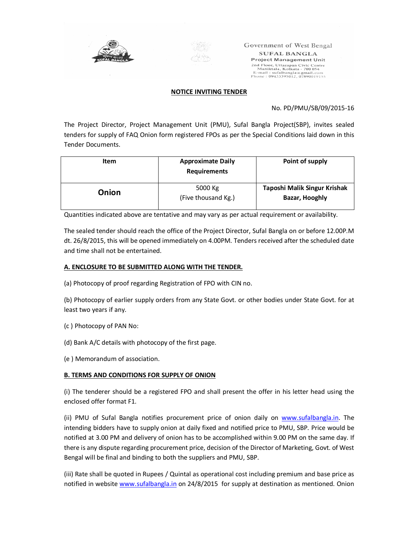

Government of West Bengal **SUFAL BANGLA** Project Management Unit 2nd Floor, Uttarapan Civic Centre<br>Mariiktala, Kolkata - 700 054<br>E-mail : sufalbangla@gmail.com<br>Phone : 09433395012, 07890019155

## **NOTICE INVITING TENDER**

## No. PD/PMU/SB/09/2015-16

The Project Director, Project Management Unit (PMU), Sufal Bangla Project(SBP), invites sealed tenders for supply of FAQ Onion form registered FPOs as per the Special Conditions laid down in this Tender Documents.

| Item  | <b>Approximate Daily</b><br><b>Requirements</b> | Point of supply                                |
|-------|-------------------------------------------------|------------------------------------------------|
| Onion | 5000 Kg<br>(Five thousand Kg.)                  | Taposhi Malik Singur Krishak<br>Bazar, Hooghly |

Quantities indicated above are tentative and may vary as per actual requirement or availability.

The sealed tender should reach the office of the Project Director, Sufal Bangla on or before 12.00P.M dt. 26/8/2015, this will be opened immediately on 4.00PM. Tenders received after the scheduled date and time shall not be entertained.

## **A. ENCLOSURE TO BE SUBMITTED ALONG WITH THE TENDER.**

(a) Photocopy of proof regarding Registration of FPO with CIN no.

(b) Photocopy of earlier supply orders from any State Govt. or other bodies under State Govt. for at least two years if any.

- (c ) Photocopy of PAN No:
- (d) Bank A/C details with photocopy of the first page.
- (e ) Memorandum of association.

### **B. TERMS AND CONDITIONS FOR SUPPLY OF ONION**

(i) The tenderer should be a registered FPO and shall present the offer in his letter head using the enclosed offer format F1.

(ii) PMU of Sufal Bangla notifies procurement price of onion daily on www.sufalbangla.in. The intending bidders have to supply onion at daily fixed and notified price to PMU, SBP. Price would be notified at 3.00 PM and delivery of onion has to be accomplished within 9.00 PM on the same day. If there is any dispute regarding procurement price, decision of the Director of Marketing, Govt. of West Bengal will be final and binding to both the suppliers and PMU, SBP.

(iii) Rate shall be quoted in Rupees / Quintal as operational cost including premium and base price as notified in website www.sufalbangla.in on 24/8/2015 for supply at destination as mentioned. Onion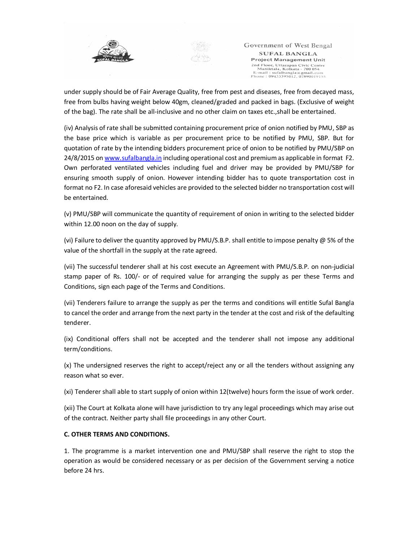

Government of West Bengal **SUFAL BANGLA** Project Management Unit 2nd Floor, Uttarapan Civic Centre<br>Maniktala, Kolkata - 700 054<br>E-mail : sufalbangla@gmail.com<br>Phone : 09433395012, 07890019155

under supply should be of Fair Average Quality, free from pest and diseases, free from decayed mass, free from bulbs having weight below 40gm, cleaned/graded and packed in bags. (Exclusive of weight of the bag). The rate shall be all-inclusive and no other claim on taxes etc.,shall be entertained.

(iv) Analysis of rate shall be submitted containing procurement price of onion notified by PMU, SBP as the base price which is variable as per procurement price to be notified by PMU, SBP. But for quotation of rate by the intending bidders procurement price of onion to be notified by PMU/SBP on 24/8/2015 on www.sufalbangla.in including operational cost and premium as applicable in format F2. Own perforated ventilated vehicles including fuel and driver may be provided by PMU/SBP for ensuring smooth supply of onion. However intending bidder has to quote transportation cost in format no F2. In case aforesaid vehicles are provided to the selected bidder no transportation cost will be entertained.

(v) PMU/SBP will communicate the quantity of requirement of onion in writing to the selected bidder within 12.00 noon on the day of supply.

(vi) Failure to deliver the quantity approved by PMU/S.B.P. shall entitle to impose penalty @ 5% of the value of the shortfall in the supply at the rate agreed.

(vii) The successful tenderer shall at his cost execute an Agreement with PMU/S.B.P. on non-judicial stamp paper of Rs. 100/- or of required value for arranging the supply as per these Terms and Conditions, sign each page of the Terms and Conditions.

(vii) Tenderers failure to arrange the supply as per the terms and conditions will entitle Sufal Bangla to cancel the order and arrange from the next party in the tender at the cost and risk of the defaulting tenderer.

(ix) Conditional offers shall not be accepted and the tenderer shall not impose any additional term/conditions.

(x) The undersigned reserves the right to accept/reject any or all the tenders without assigning any reason what so ever.

(xi) Tenderer shall able to start supply of onion within 12(twelve) hours form the issue of work order.

(xii) The Court at Kolkata alone will have jurisdiction to try any legal proceedings which may arise out of the contract. Neither party shall file proceedings in any other Court.

# **C. OTHER TERMS AND CONDITIONS.**

1. The programme is a market intervention one and PMU/SBP shall reserve the right to stop the operation as would be considered necessary or as per decision of the Government serving a notice before 24 hrs.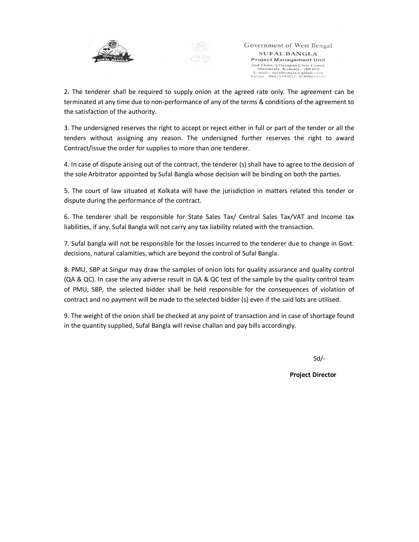

Government of West Bengal **SUFAL BANGLA** Project Management Unit 2nd Floor, Uttarapan Civic Centre<br>Maniktala, Kolkata - 700 054<br>E-mail : sufalbangla@gmail.com<br>Phone : 09433395012, 07890019155

2. The tenderer shall be required to supply onion at the agreed rate only. The agreement can be terminated at any time due to non-performance of any of the terms & conditions of the agreement to the satisfaction of the authority.

3. The undersigned reserves the right to accept or reject either in full or part of the tender or all the tenders without assigning any reason. The undersigned further reserves the right to award Contract/issue the order for supplies to more than one tenderer.

4. In case of dispute arising out of the contract, the tenderer (s) shall have to agree to the decision of the sole Arbitrator appointed by Sufal Bangla whose decision will be binding on both the parties.

5. The court of law situated at Kolkata will have the jurisdiction in matters related this tender or dispute during the performance of the contract.

6. The tenderer shall be responsible for State Sales Tax/ Central Sales Tax/VAT and Income tax liabilities, if any. Sufal Bangla will not carry any tax liability related with the transaction.

7. Sufal bangla will not be responsible for the losses incurred to the tenderer due to change in Govt. decisions, natural calamities, which are beyond the control of Sufal Bangla.

8. PMU, SBP at Singur may draw the samples of onion lots for quality assurance and quality control (QA & QC). In case the any adverse result in QA & QC test of the sample by the quality control team of PMU, SBP, the selected bidder shall be held responsible for the consequences of violation of contract and no payment will be made to the selected bidder (s) even if the said lots are utilised.

9. The weight of the onion shall be checked at any point of transaction and in case of shortage found in the quantity supplied, Sufal Bangla will revise challan and pay bills accordingly.

Sd/-

**Project Director**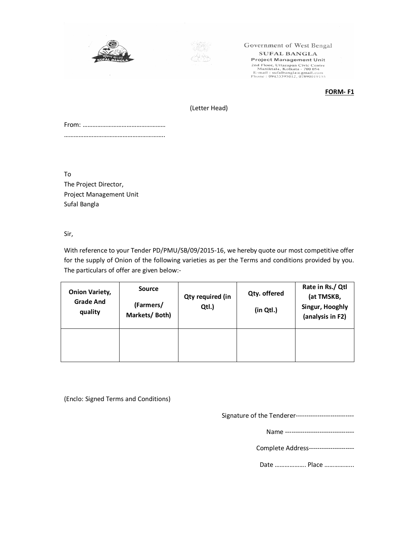

Government of West Bengal SUFAL BANGLA Project Management Unit **Calcular Continuing School Control Control Control Control Control Control Control Control Control Control Control Control Control Control Control Control Control Control Control Control Control Control Control Control Co** 

**FORM- F1**

(Letter Head)

To

The Project Director, Project Management Unit Sufal Bangla

Sir,

With reference to your Tender PD/PMU/SB/09/2015-16, we hereby quote our most competitive offer for the supply of Onion of the following varieties as per the Terms and conditions provided by you. The particulars of offer are given below:-

| <b>Onion Variety,</b><br><b>Grade And</b><br>quality | <b>Source</b><br>(Farmers/<br>Markets/Both) | Qty required (in<br>Qtl.) | Qty. offered<br>(in Qtl.) | Rate in Rs./ Qtl<br>(at TMSKB,<br>Singur, Hooghly<br>(analysis in F2) |
|------------------------------------------------------|---------------------------------------------|---------------------------|---------------------------|-----------------------------------------------------------------------|
|                                                      |                                             |                           |                           |                                                                       |

(Enclo: Signed Terms and Conditions)

Signature of the Tenderer---------------------------

Name ----------------------------------

Complete Address---------------------

Date ………………. Place ……………...